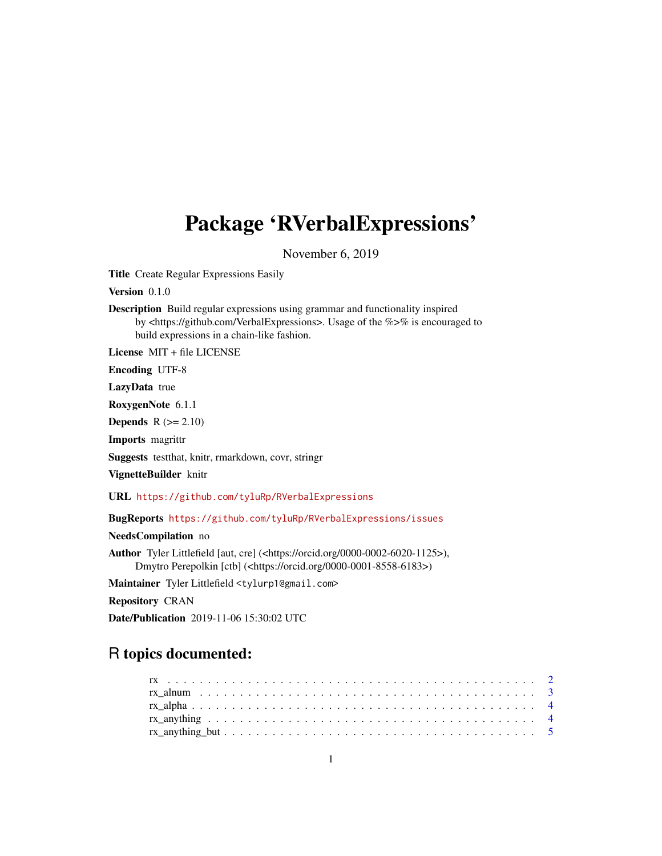# Package 'RVerbalExpressions'

November 6, 2019

Title Create Regular Expressions Easily

Version 0.1.0

Description Build regular expressions using grammar and functionality inspired by <https://github.com/VerbalExpressions>. Usage of the %>% is encouraged to build expressions in a chain-like fashion.

License MIT + file LICENSE

Encoding UTF-8

LazyData true

RoxygenNote 6.1.1

Depends  $R (= 2.10)$ 

Imports magrittr

Suggests testthat, knitr, rmarkdown, covr, stringr

VignetteBuilder knitr

URL <https://github.com/tyluRp/RVerbalExpressions>

BugReports <https://github.com/tyluRp/RVerbalExpressions/issues>

NeedsCompilation no

Author Tyler Littlefield [aut, cre] (<https://orcid.org/0000-0002-6020-1125>), Dmytro Perepolkin [ctb] (<https://orcid.org/0000-0001-8558-6183>)

Maintainer Tyler Littlefield <tylurp1@gmail.com>

Repository CRAN

Date/Publication 2019-11-06 15:30:02 UTC

# R topics documented: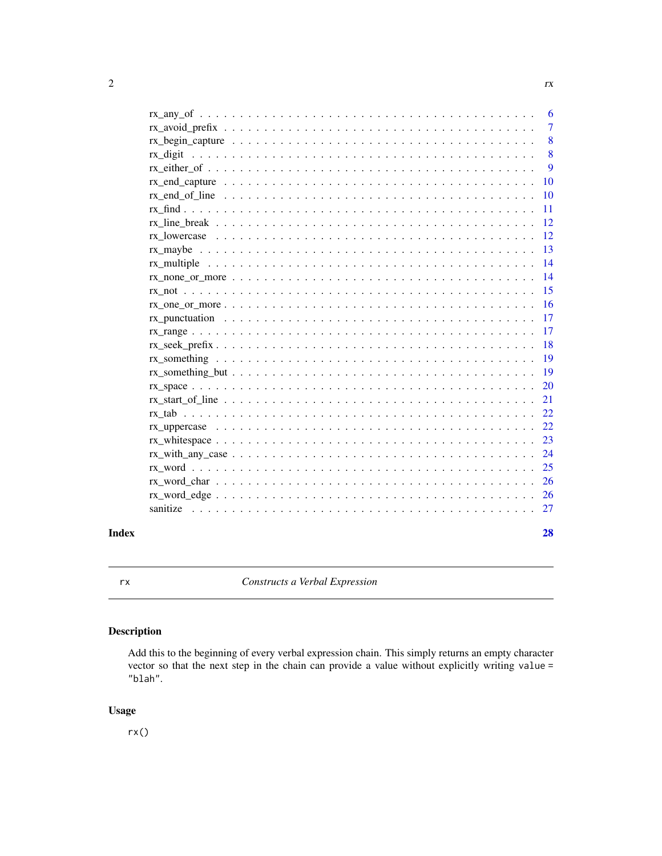<span id="page-1-0"></span>

|       |                                                                                                                        | - 6             |
|-------|------------------------------------------------------------------------------------------------------------------------|-----------------|
|       |                                                                                                                        | $\overline{7}$  |
|       |                                                                                                                        | 8               |
|       |                                                                                                                        | 8               |
|       |                                                                                                                        | 9               |
|       |                                                                                                                        | <b>10</b>       |
|       |                                                                                                                        | <b>10</b>       |
|       |                                                                                                                        | -11             |
|       |                                                                                                                        | $\sqrt{12}$     |
|       |                                                                                                                        |                 |
|       |                                                                                                                        | -13             |
|       |                                                                                                                        | $\overline{14}$ |
|       | $rx\_none\_or\_more$                                                                                                   | -14             |
|       |                                                                                                                        | 15              |
|       |                                                                                                                        | <sup>16</sup>   |
|       |                                                                                                                        | 17              |
|       |                                                                                                                        | 17              |
|       |                                                                                                                        | 18              |
|       |                                                                                                                        | <sup>19</sup>   |
|       |                                                                                                                        | <sup>19</sup>   |
|       |                                                                                                                        | 20              |
|       |                                                                                                                        | 21              |
|       |                                                                                                                        | 22              |
|       |                                                                                                                        | 22              |
|       | $rx\_whitespace \dots \dots \dots \dots \dots \dots \dots \dots \dots \dots \dots \dots \dots \dots \dots \dots \dots$ | 23              |
|       | $rx\_with\_any\_case \ldots \ldots \ldots \ldots \ldots \ldots \ldots \ldots \ldots \ldots \ldots \ldots$              | 24              |
|       |                                                                                                                        | 25              |
|       |                                                                                                                        | 26              |
|       |                                                                                                                        |                 |
|       |                                                                                                                        |                 |
| Index |                                                                                                                        | 28              |

rx *Constructs a Verbal Expression*

# Description

Add this to the beginning of every verbal expression chain. This simply returns an empty character vector so that the next step in the chain can provide a value without explicitly writing value = "blah".

# Usage

rx()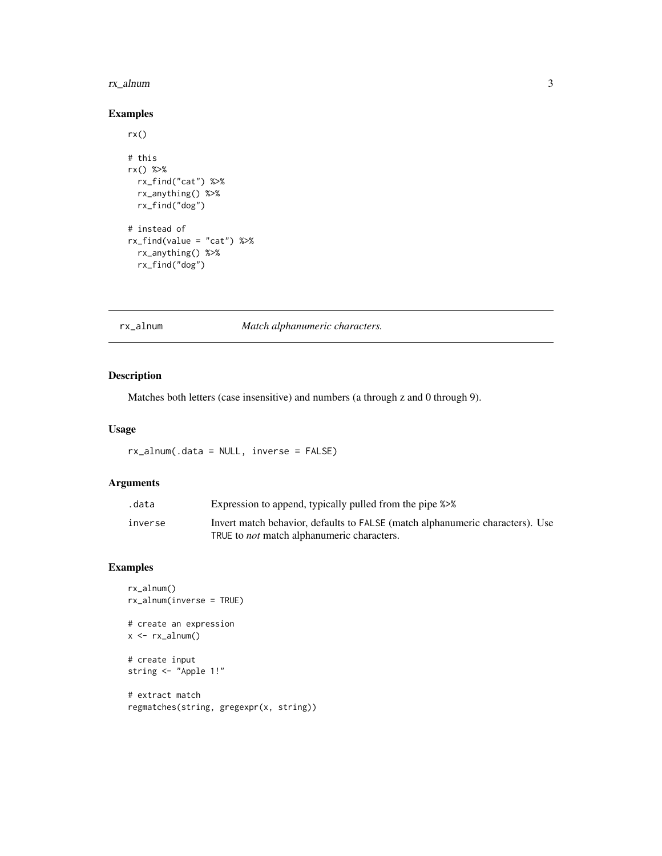#### <span id="page-2-0"></span>rx\_alnum 3

# Examples

```
rx()
# this
rx() %>%
  rx_find("cat") %>%
  rx_anything() %>%
  rx_find("dog")
# instead of
rx_find(value = "cat") %>%
 rx_anything() %>%
  rx_find("dog")
```
# rx\_alnum *Match alphanumeric characters.*

#### Description

Matches both letters (case insensitive) and numbers (a through z and 0 through 9).

#### Usage

rx\_alnum(.data = NULL, inverse = FALSE)

# Arguments

| .data   | Expression to append, typically pulled from the pipe %>%                      |
|---------|-------------------------------------------------------------------------------|
| inverse | Invert match behavior, defaults to FALSE (match alphanumeric characters). Use |
|         | TRUE to <i>not</i> match alphanumeric characters.                             |

```
rx_alnum()
rx_alnum(inverse = TRUE)
# create an expression
x \leftarrow rx_alnum()# create input
string <- "Apple 1!"
# extract match
regmatches(string, gregexpr(x, string))
```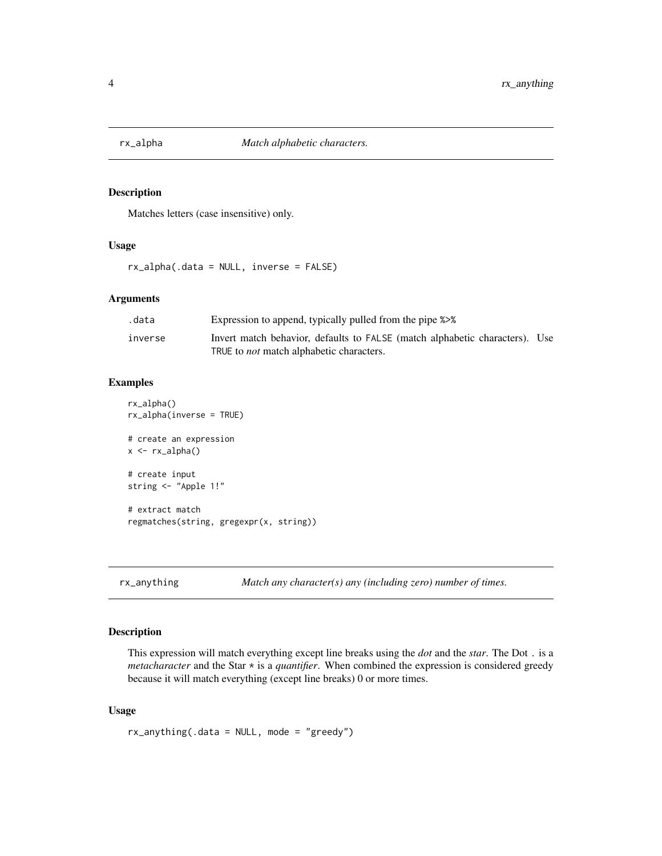<span id="page-3-0"></span>

#### Description

Matches letters (case insensitive) only.

#### Usage

rx\_alpha(.data = NULL, inverse = FALSE)

#### Arguments

| .data   | Expression to append, typically pulled from the pipe %>%                                                                       |  |
|---------|--------------------------------------------------------------------------------------------------------------------------------|--|
| inverse | Invert match behavior, defaults to FALSE (match alphabetic characters). Use<br>TRUE to <i>not</i> match alphabetic characters. |  |

# Examples

```
rx_alpha()
rx_alpha(inverse = TRUE)
# create an expression
x < -rx_alpha# create input
string <- "Apple 1!"
# extract match
regmatches(string, gregexpr(x, string))
```
rx\_anything *Match any character(s) any (including zero) number of times.*

#### Description

This expression will match everything except line breaks using the *dot* and the *star*. The Dot . is a *metacharacter* and the Star \* is a *quantifier*. When combined the expression is considered greedy because it will match everything (except line breaks) 0 or more times.

#### Usage

rx\_anything(.data = NULL, mode = "greedy")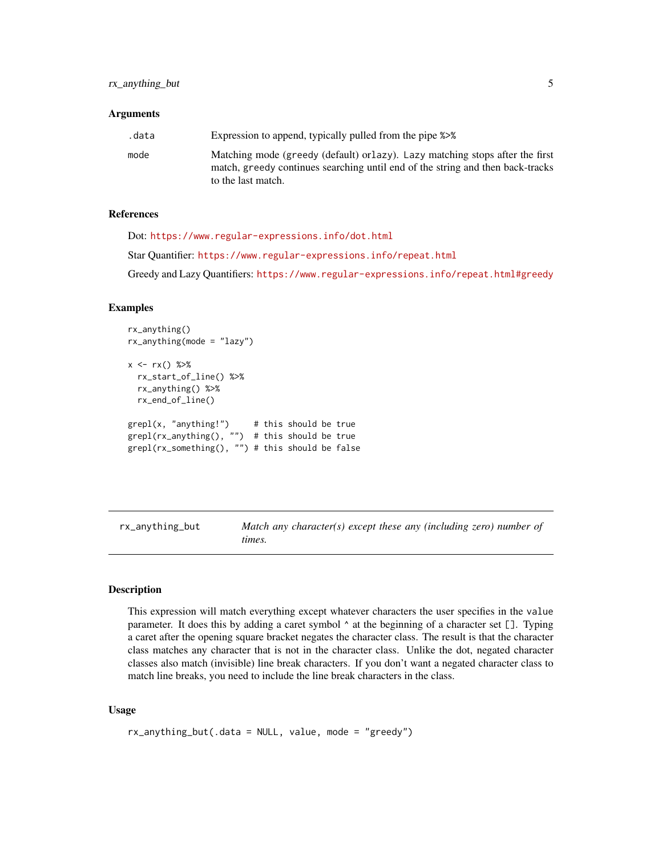#### <span id="page-4-0"></span>Arguments

| .data | Expression to append, typically pulled from the pipe %>%                                                                                                                              |
|-------|---------------------------------------------------------------------------------------------------------------------------------------------------------------------------------------|
| mode  | Matching mode (greedy (default) or lazy). Lazy matching stops after the first<br>match, greedy continues searching until end of the string and then back-tracks<br>to the last match. |

# References

Dot: <https://www.regular-expressions.info/dot.html>

Star Quantifier: <https://www.regular-expressions.info/repeat.html>

Greedy and Lazy Quantifiers: <https://www.regular-expressions.info/repeat.html#greedy>

# Examples

```
rx_anything()
rx_anything(mode = "lazy")
x \leq -rx() %>%
 rx_start_of_line() %>%
 rx_anything() %>%
 rx_end_of_line()
graph(x, "anything!) # this should be true
graph(rx_{anything(), "") # this should be truegrepl(rx_something(), "") # this should be false
```
rx\_anything\_but *Match any character(s) except these any (including zero) number of times.*

#### Description

This expression will match everything except whatever characters the user specifies in the value parameter. It does this by adding a caret symbol ^ at the beginning of a character set []. Typing a caret after the opening square bracket negates the character class. The result is that the character class matches any character that is not in the character class. Unlike the dot, negated character classes also match (invisible) line break characters. If you don't want a negated character class to match line breaks, you need to include the line break characters in the class.

#### Usage

```
rx_anything_but(.data = NULL, value, mode = "greedy")
```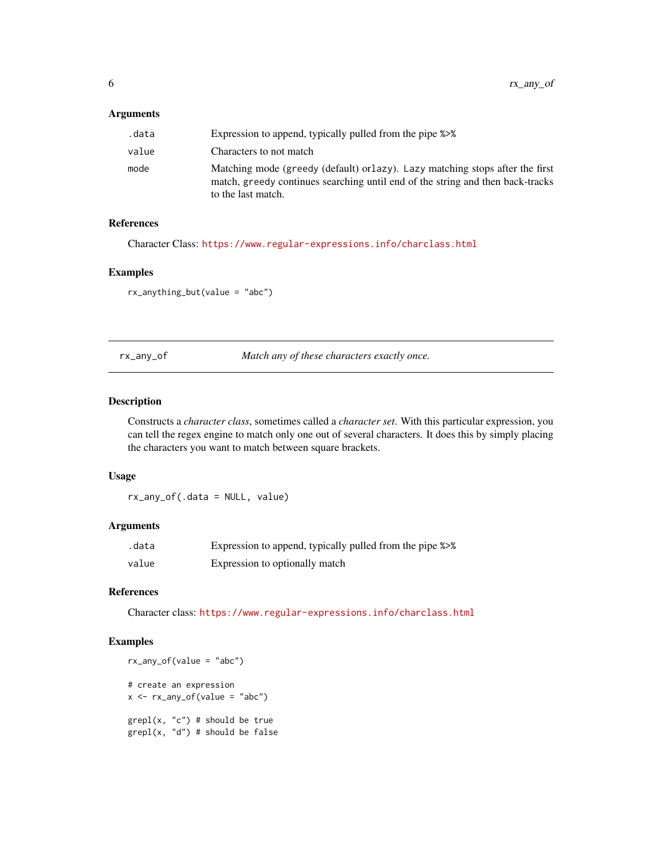# <span id="page-5-0"></span>Arguments

| .data | Expression to append, typically pulled from the pipe %>%                                                                                                                              |
|-------|---------------------------------------------------------------------------------------------------------------------------------------------------------------------------------------|
| value | Characters to not match                                                                                                                                                               |
| mode  | Matching mode (greedy (default) or lazy). Lazy matching stops after the first<br>match, greedy continues searching until end of the string and then back-tracks<br>to the last match. |

# References

Character Class: <https://www.regular-expressions.info/charclass.html>

#### Examples

rx\_anything\_but(value = "abc")

rx\_any\_of *Match any of these characters exactly once.*

#### Description

Constructs a *character class*, sometimes called a *character set*. With this particular expression, you can tell the regex engine to match only one out of several characters. It does this by simply placing the characters you want to match between square brackets.

# Usage

rx\_any\_of(.data = NULL, value)

# Arguments

| .data | Expression to append, typically pulled from the pipe %>% |
|-------|----------------------------------------------------------|
| value | Expression to optionally match                           |

# References

Character class: <https://www.regular-expressions.info/charclass.html>

```
rx_any_of(value = "abc")
# create an expression
x \leftarrow rx_{any_of}(value = "abc")graph(x, "c") # should be true
grepl(x, "d") # should be false
```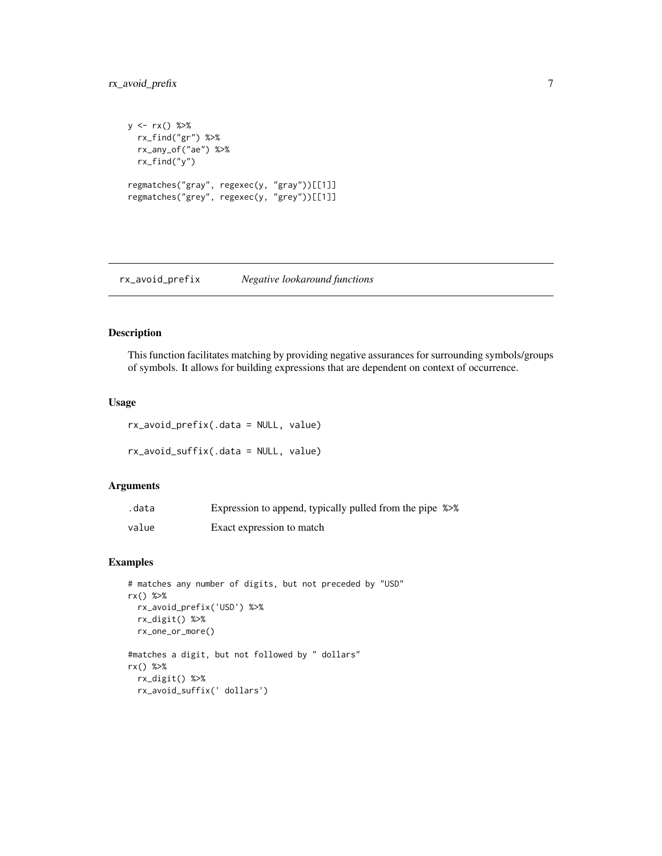# <span id="page-6-0"></span>rx\_avoid\_prefix 7

```
y \leq -rx() %>%
  rx_find("gr") %>%
  rx_any_of("ae") %>%
  rx_find("y")
regmatches("gray", regexec(y, "gray"))[[1]]
regmatches("grey", regexec(y, "grey"))[[1]]
```
rx\_avoid\_prefix *Negative lookaround functions*

# Description

This function facilitates matching by providing negative assurances for surrounding symbols/groups of symbols. It allows for building expressions that are dependent on context of occurrence.

#### Usage

rx\_avoid\_prefix(.data = NULL, value) rx\_avoid\_suffix(.data = NULL, value)

#### Arguments

| .data | Expression to append, typically pulled from the pipe %>% |  |
|-------|----------------------------------------------------------|--|
| value | Exact expression to match                                |  |

```
# matches any number of digits, but not preceded by "USD"
rx() %>%
  rx_avoid_prefix('USD') %>%
 rx_digit() %>%
  rx_one_or_more()
#matches a digit, but not followed by " dollars"
rx() %>%
  rx_digit() %>%
  rx_avoid_suffix(' dollars')
```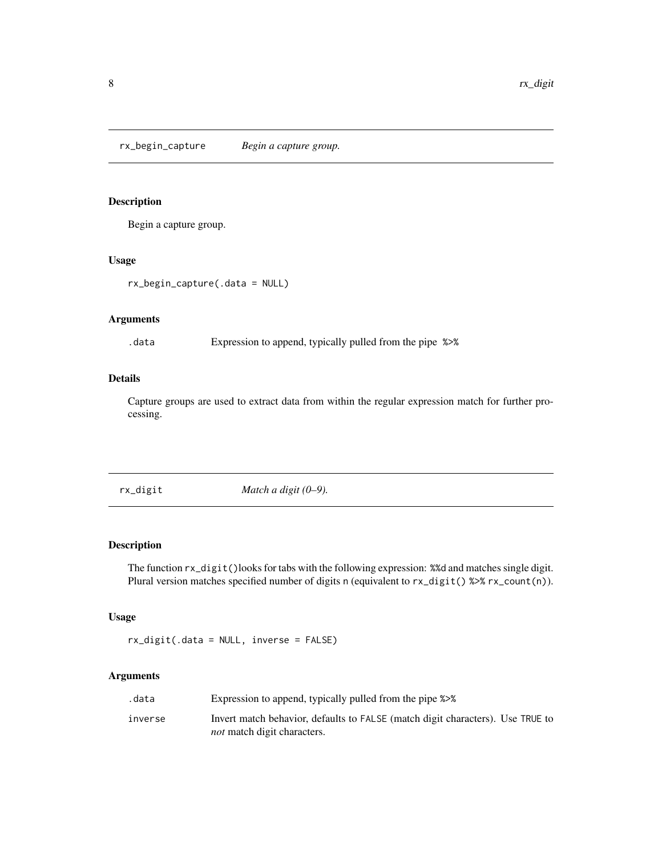<span id="page-7-0"></span>rx\_begin\_capture *Begin a capture group.*

# Description

Begin a capture group.

# Usage

```
rx_begin_capture(.data = NULL)
```
#### Arguments

.data Expression to append, typically pulled from the pipe %>%

# Details

Capture groups are used to extract data from within the regular expression match for further processing.

rx\_digit *Match a digit (0–9).*

# Description

The function rx\_digit()looks for tabs with the following expression: %%d and matches single digit. Plural version matches specified number of digits n (equivalent to  $rx\_digit()$  %>%  $rx\_count(n)$ ).

# Usage

rx\_digit(.data = NULL, inverse = FALSE)

#### Arguments

| .data   | Expression to append, typically pulled from the pipe %>%                       |
|---------|--------------------------------------------------------------------------------|
| inverse | Invert match behavior, defaults to FALSE (match digit characters). Use TRUE to |
|         | <i>not</i> match digit characters.                                             |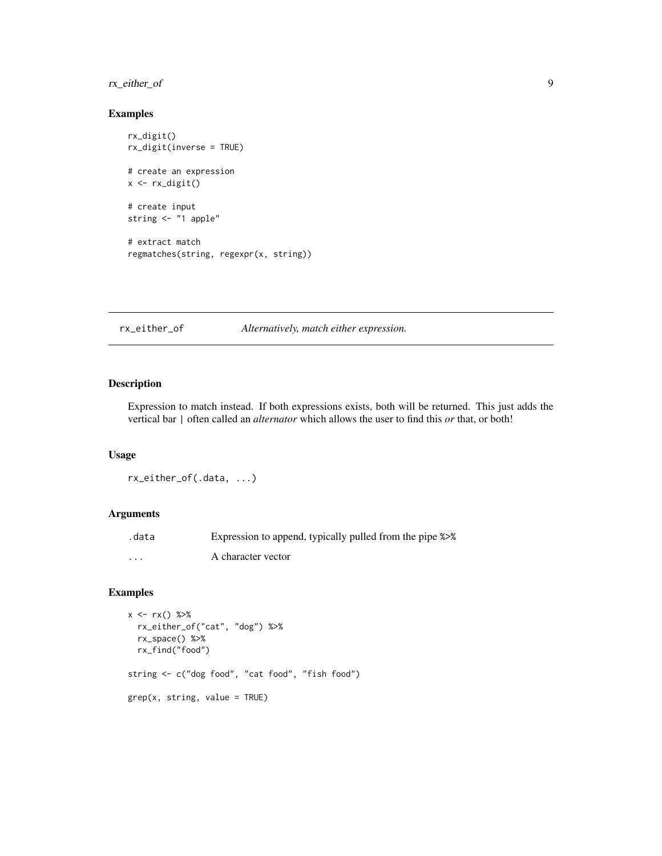# <span id="page-8-0"></span>rx\_either\_of 9

#### Examples

```
rx_digit()
rx_digit(inverse = TRUE)
# create an expression
x \leftarrow rx\_digit()# create input
string <- "1 apple"
# extract match
regmatches(string, regexpr(x, string))
```
rx\_either\_of *Alternatively, match either expression.*

# Description

Expression to match instead. If both expressions exists, both will be returned. This just adds the vertical bar | often called an *alternator* which allows the user to find this *or* that, or both!

#### Usage

rx\_either\_of(.data, ...)

#### Arguments

| .data             | Expression to append, typically pulled from the pipe %>% |
|-------------------|----------------------------------------------------------|
| $\cdot\cdot\cdot$ | A character vector                                       |

```
x \leq -rx() %>%
  rx_either_of("cat", "dog") %>%
  rx_space() %>%
  rx_find("food")
string <- c("dog food", "cat food", "fish food")
grep(x, string, value = TRUE)
```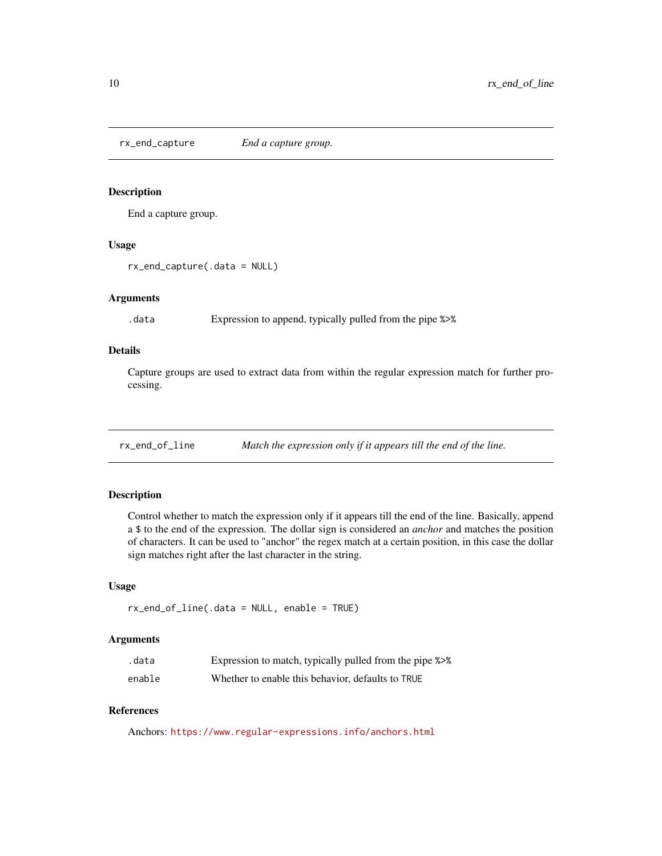<span id="page-9-0"></span>rx\_end\_capture *End a capture group.*

#### Description

End a capture group.

#### Usage

rx\_end\_capture(.data = NULL)

#### Arguments

.data Expression to append, typically pulled from the pipe %>%

# Details

Capture groups are used to extract data from within the regular expression match for further processing.

rx\_end\_of\_line *Match the expression only if it appears till the end of the line.*

# Description

Control whether to match the expression only if it appears till the end of the line. Basically, append a \$ to the end of the expression. The dollar sign is considered an *anchor* and matches the position of characters. It can be used to "anchor" the regex match at a certain position, in this case the dollar sign matches right after the last character in the string.

#### Usage

rx\_end\_of\_line(.data = NULL, enable = TRUE)

#### Arguments

| .data  | Expression to match, typically pulled from the pipe %>% |
|--------|---------------------------------------------------------|
| enable | Whether to enable this behavior, defaults to TRUE       |

#### References

Anchors: <https://www.regular-expressions.info/anchors.html>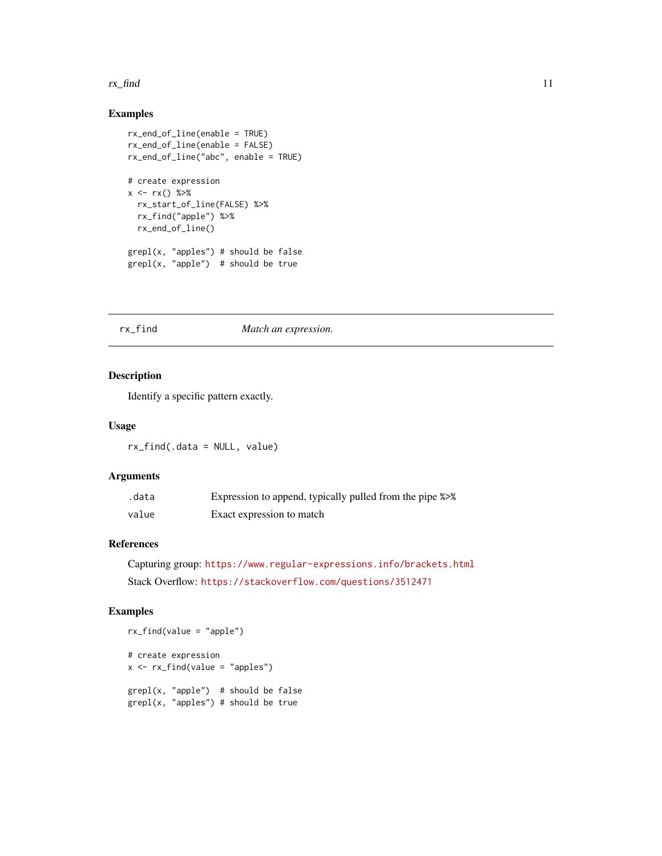#### <span id="page-10-0"></span>rx\_find 11

# Examples

```
rx_end_of_line(enable = TRUE)
rx_end_of_line(enable = FALSE)
rx_end_of_line("abc", enable = TRUE)
# create expression
x \leq -rx() %>%
 rx_start_of_line(FALSE) %>%
  rx_find("apple") %>%
 rx_end_of_line()
grepl(x, "apples") # should be false
grepl(x, "apple") # should be true
```
#### rx\_find *Match an expression.*

# Description

Identify a specific pattern exactly.

#### Usage

rx\_find(.data = NULL, value)

# Arguments

| .data | Expression to append, typically pulled from the pipe %>% |
|-------|----------------------------------------------------------|
| value | Exact expression to match                                |

# References

Capturing group: <https://www.regular-expressions.info/brackets.html> Stack Overflow: <https://stackoverflow.com/questions/3512471>

# Examples

```
# create expression
x <- rx_find(value = "apples")
grepl(x, "apple") # should be false
grepl(x, "apples") # should be true
```
rx\_find(value = "apple")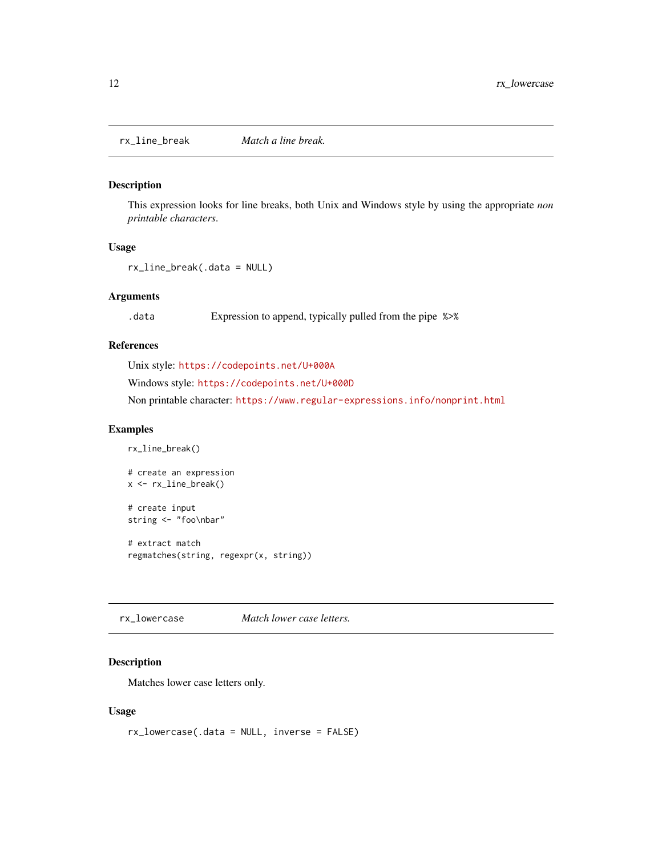<span id="page-11-0"></span>rx\_line\_break *Match a line break.*

#### Description

This expression looks for line breaks, both Unix and Windows style by using the appropriate *non printable characters*.

#### Usage

rx\_line\_break(.data = NULL)

# Arguments

.data Expression to append, typically pulled from the pipe %>%

# References

Unix style: <https://codepoints.net/U+000A>

Windows style: <https://codepoints.net/U+000D>

Non printable character: <https://www.regular-expressions.info/nonprint.html>

#### Examples

```
rx_line_break()
# create an expression
x <- rx_line_break()
# create input
string <- "foo\nbar"
# extract match
regmatches(string, regexpr(x, string))
```
rx\_lowercase *Match lower case letters.*

#### Description

Matches lower case letters only.

#### Usage

rx\_lowercase(.data = NULL, inverse = FALSE)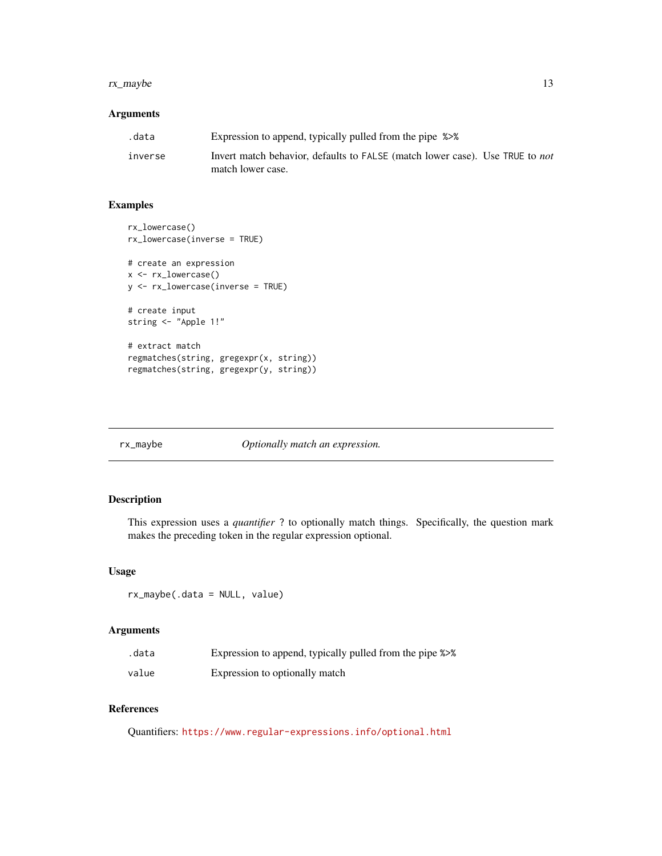#### <span id="page-12-0"></span>rx\_maybe 13

# Arguments

| .data   | Expression to append, typically pulled from the pipe %>%                            |
|---------|-------------------------------------------------------------------------------------|
| inverse | Invert match behavior, defaults to FALSE (match lower case). Use TRUE to <i>not</i> |
|         | match lower case.                                                                   |

# Examples

```
rx_lowercase()
rx_lowercase(inverse = TRUE)
# create an expression
x <- rx_lowercase()
y <- rx_lowercase(inverse = TRUE)
# create input
string <- "Apple 1!"
# extract match
regmatches(string, gregexpr(x, string))
regmatches(string, gregexpr(y, string))
```
rx\_maybe *Optionally match an expression.*

# Description

This expression uses a *quantifier* ? to optionally match things. Specifically, the question mark makes the preceding token in the regular expression optional.

#### Usage

rx\_maybe(.data = NULL, value)

#### Arguments

| .data | Expression to append, typically pulled from the pipe %>% |
|-------|----------------------------------------------------------|
| value | Expression to optionally match                           |

# References

Quantifiers: <https://www.regular-expressions.info/optional.html>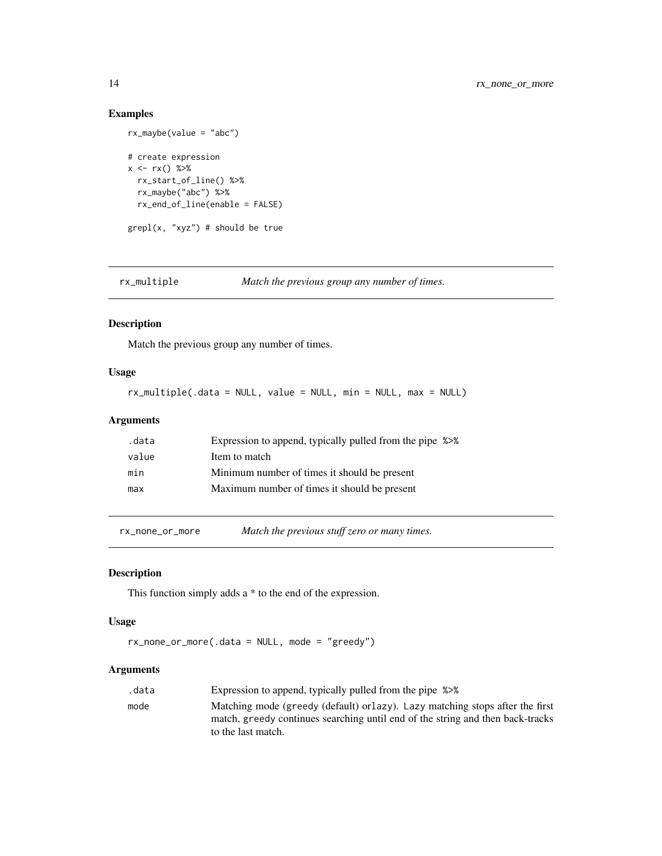# Examples

```
rx_maybe(value = "abc")
# create expression
x \leq -rx() %>%
 rx_start_of_line() %>%
 rx_maybe("abc") %>%
  rx_end_of_line(enable = FALSE)
graph(x, "xyz") # should be true
```
rx\_multiple *Match the previous group any number of times.*

#### Description

Match the previous group any number of times.

# Usage

rx\_multiple(.data = NULL, value = NULL, min = NULL, max = NULL)

# Arguments

| .data | Expression to append, typically pulled from the pipe %>% |
|-------|----------------------------------------------------------|
| value | Item to match                                            |
| min   | Minimum number of times it should be present             |
| max   | Maximum number of times it should be present             |

rx\_none\_or\_more *Match the previous stuff zero or many times.*

#### Description

This function simply adds a \* to the end of the expression.

#### Usage

```
rx_none_or_more(.data = NULL, mode = "greedy")
```
#### Arguments

| .data | Expression to append, typically pulled from the pipe %>%                       |
|-------|--------------------------------------------------------------------------------|
| mode  | Matching mode (greedy (default) or lazy). Lazy matching stops after the first  |
|       | match, greedy continues searching until end of the string and then back-tracks |
|       | to the last match.                                                             |

<span id="page-13-0"></span>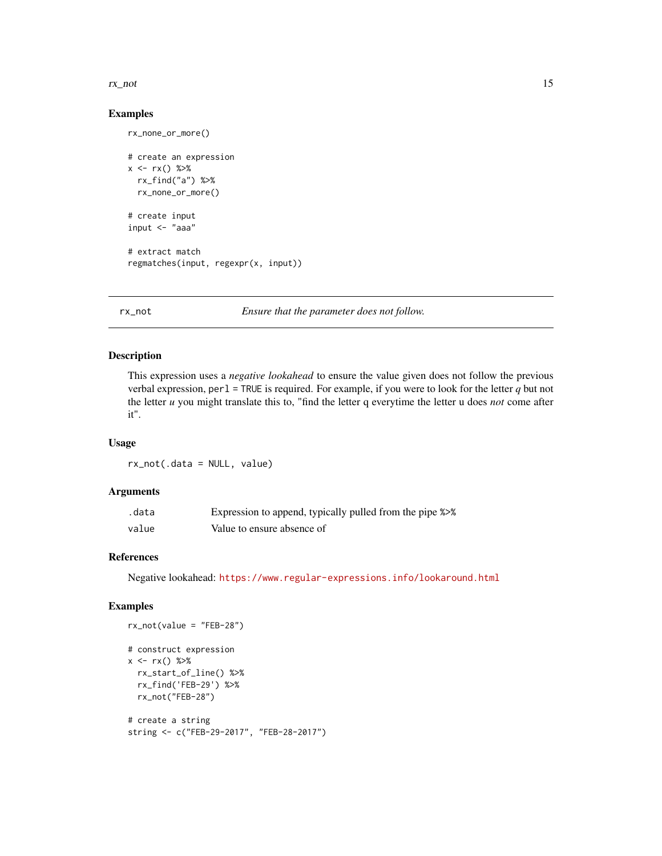#### <span id="page-14-0"></span>rx\_not 15

#### Examples

rx\_none\_or\_more()

```
# create an expression
x \leq -rx() %>%
  rx_find("a") %>%
  rx_none_or_more()
# create input
input <- "aaa"
# extract match
regmatches(input, regexpr(x, input))
```
rx\_not *Ensure that the parameter does not follow.*

# Description

This expression uses a *negative lookahead* to ensure the value given does not follow the previous verbal expression, perl = TRUE is required. For example, if you were to look for the letter *q* but not the letter *u* you might translate this to, "find the letter q everytime the letter u does *not* come after it".

# Usage

rx\_not(.data = NULL, value)

#### Arguments

| .data | Expression to append, typically pulled from the pipe %>% |
|-------|----------------------------------------------------------|
| value | Value to ensure absence of                               |

#### References

Negative lookahead: <https://www.regular-expressions.info/lookaround.html>

```
rx_not(value = "FEB-28")
# construct expression
x \leq -rx() %>%
```

```
rx_start_of_line() %>%
rx_find('FEB-29') %>%
rx_not("FEB-28")
```

```
# create a string
string <- c("FEB-29-2017", "FEB-28-2017")
```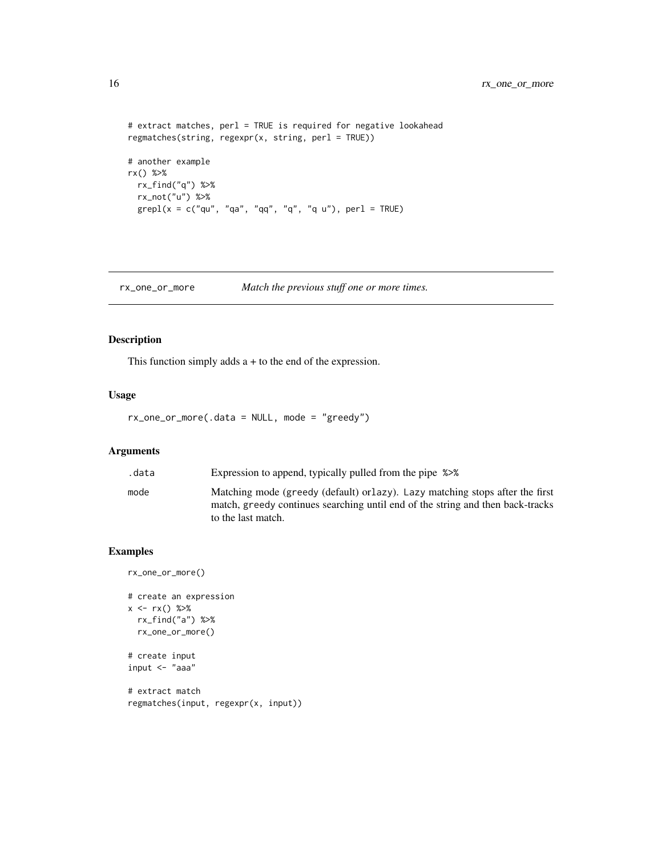```
# extract matches, perl = TRUE is required for negative lookahead
regmatches(string, regexpr(x, string, perl = TRUE))
# another example
rx() %>%
 rx_find("q") %>%
  rx_not("u") %>%
  graph(x = c("qu", "qa", "qq", "q", "q", "q u"), per1 = TRUE)
```
rx\_one\_or\_more *Match the previous stuff one or more times.*

#### Description

This function simply adds  $a + to$  the end of the expression.

# Usage

```
rx_one_or_more(.data = NULL, mode = "greedy")
```
# Arguments

| .data | Expression to append, typically pulled from the pipe %>%                                                                                                        |
|-------|-----------------------------------------------------------------------------------------------------------------------------------------------------------------|
| mode  | Matching mode (greedy (default) or lazy). Lazy matching stops after the first<br>match, greedy continues searching until end of the string and then back-tracks |
|       | to the last match.                                                                                                                                              |

```
rx_one_or_more()
# create an expression
x \leq -rx() %>%
  rx_find("a") %>%
  rx_one_or_more()
# create input
input <- "aaa"
# extract match
```

```
regmatches(input, regexpr(x, input))
```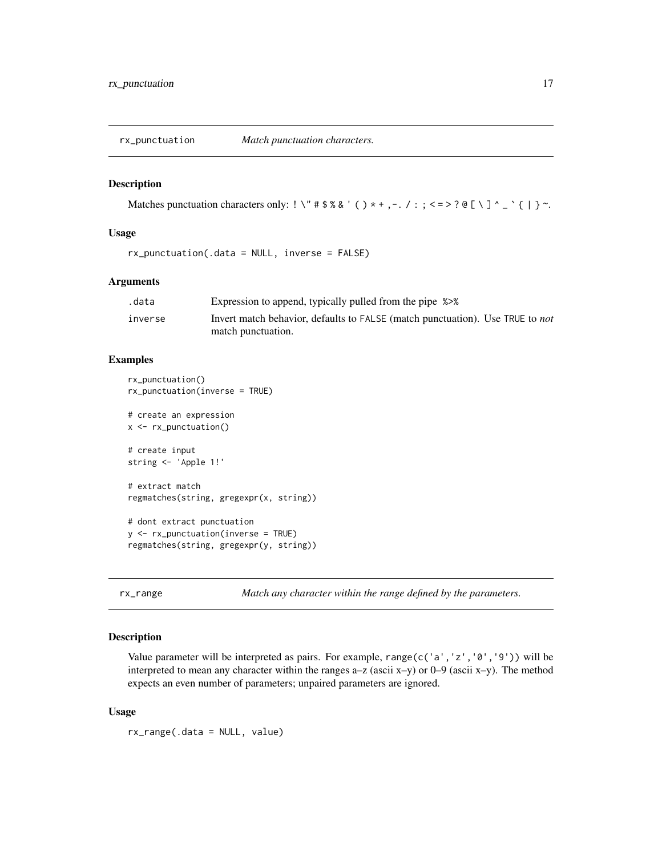<span id="page-16-0"></span>

# Description

Matches punctuation characters only: ! \" #  $\frac{1}{2}$  \& ' ( ) \* + , - . / : ; < = > ? @ [ \ ] ^ \_ ` { | } ~.

# Usage

rx\_punctuation(.data = NULL, inverse = FALSE)

#### Arguments

| .data   | Expression to append, typically pulled from the pipe %>%                             |
|---------|--------------------------------------------------------------------------------------|
| inverse | Invert match behavior, defaults to FALSE (match punctuation). Use TRUE to <i>not</i> |
|         | match punctuation.                                                                   |

#### Examples

```
rx_punctuation()
rx_punctuation(inverse = TRUE)
# create an expression
x <- rx_punctuation()
# create input
string <- 'Apple 1!'
# extract match
regmatches(string, gregexpr(x, string))
# dont extract punctuation
y <- rx_punctuation(inverse = TRUE)
regmatches(string, gregexpr(y, string))
```
rx\_range *Match any character within the range defined by the parameters.*

#### Description

Value parameter will be interpreted as pairs. For example, range( $c('a', 'z', '0', '9'))$  will be interpreted to mean any character within the ranges a–z (ascii x–y) or 0–9 (ascii x–y). The method expects an even number of parameters; unpaired parameters are ignored.

#### Usage

rx\_range(.data = NULL, value)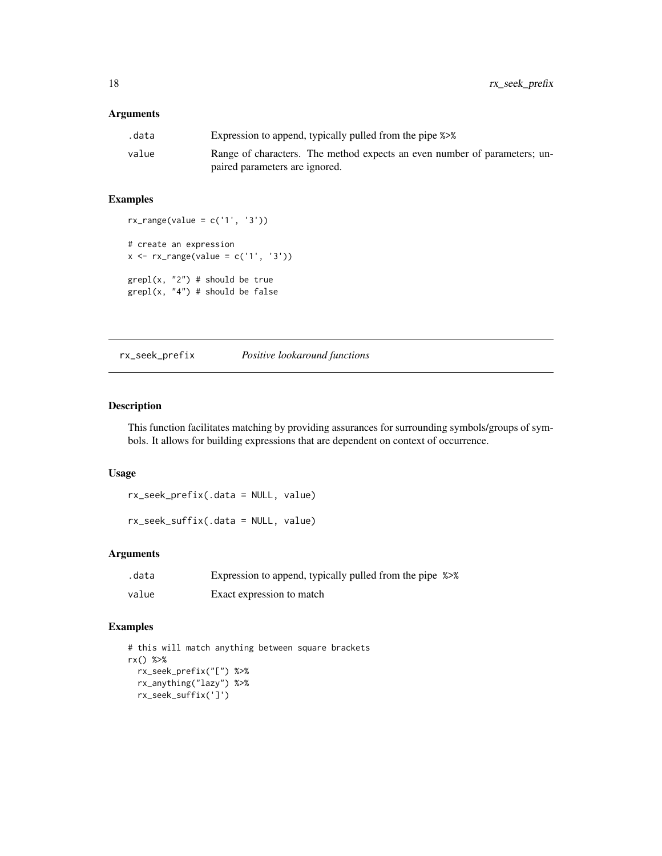### <span id="page-17-0"></span>Arguments

| .data | Expression to append, typically pulled from the pipe %>%                  |
|-------|---------------------------------------------------------------------------|
| value | Range of characters. The method expects an even number of parameters; un- |
|       | paired parameters are ignored.                                            |

#### Examples

```
rx\_range(value = c('1', '3'))# create an expression
x \leq -rx\_range(value = c('1', '3'))graph(x, "2") # should be true
grepl(x, "4") # should be false
```
rx\_seek\_prefix *Positive lookaround functions*

#### Description

This function facilitates matching by providing assurances for surrounding symbols/groups of symbols. It allows for building expressions that are dependent on context of occurrence.

#### Usage

rx\_seek\_prefix(.data = NULL, value)

rx\_seek\_suffix(.data = NULL, value)

# Arguments

| .data | Expression to append, typically pulled from the pipe %>% |  |
|-------|----------------------------------------------------------|--|
| value | Exact expression to match                                |  |

```
# this will match anything between square brackets
rx() %>%
  rx_seek_prefix("[") %>%
  rx_anything("lazy") %>%
  rx_seek_suffix(']')
```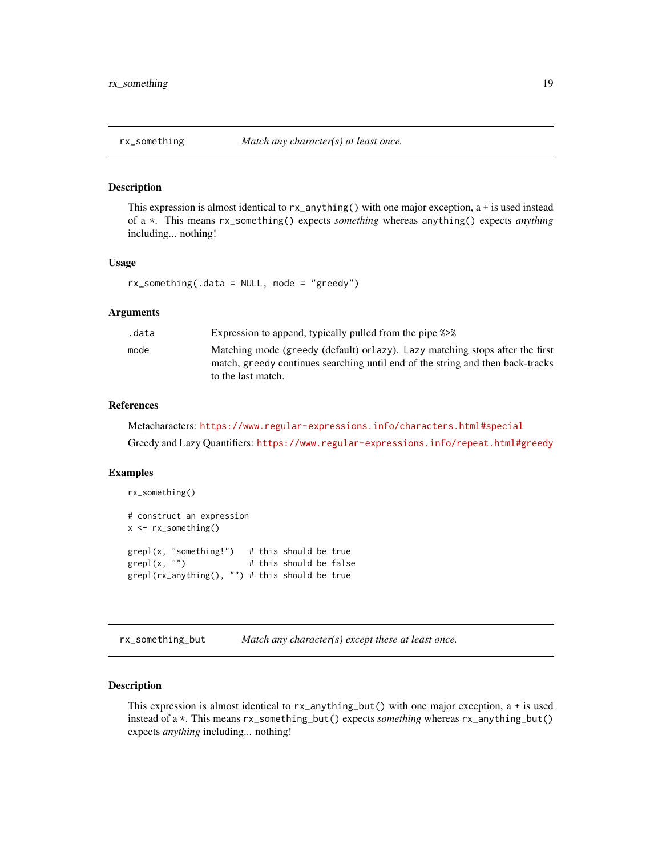#### <span id="page-18-0"></span>Description

This expression is almost identical to  $rx$ <sub>anything</sub>() with one major exception, a + is used instead of a \*. This means rx\_something() expects *something* whereas anything() expects *anything* including... nothing!

#### Usage

rx\_something(.data = NULL, mode = "greedy")

#### Arguments

| .data | Expression to append, typically pulled from the pipe %>%                                                                                                                              |
|-------|---------------------------------------------------------------------------------------------------------------------------------------------------------------------------------------|
| mode  | Matching mode (greedy (default) or lazy). Lazy matching stops after the first<br>match, greedy continues searching until end of the string and then back-tracks<br>to the last match. |
|       |                                                                                                                                                                                       |

#### References

Metacharacters: <https://www.regular-expressions.info/characters.html#special> Greedy and Lazy Quantifiers: <https://www.regular-expressions.info/repeat.html#greedy>

#### Examples

```
rx_something()
# construct an expression
x <- rx_something()
grepl(x, "something!") # this should be true<br>grepl(x, "") # this should be false
                              # this should be false
grepl(rx_anything(), "") # this should be true
```
rx\_something\_but *Match any character(s) except these at least once.*

#### Description

This expression is almost identical to  $rx$ <sub>-anything-but</sub>() with one major exception,  $a + is$  used instead of a \*. This means rx\_something\_but() expects *something* whereas rx\_anything\_but() expects *anything* including... nothing!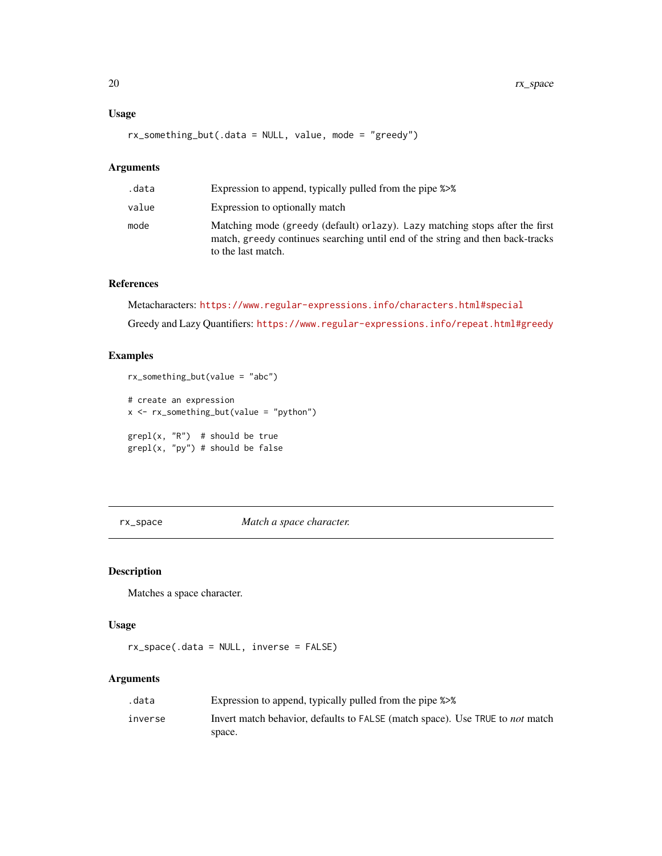### <span id="page-19-0"></span>Usage

rx\_something\_but(.data = NULL, value, mode = "greedy")

#### Arguments

| .data | Expression to append, typically pulled from the pipe %>%                                                                                                                              |
|-------|---------------------------------------------------------------------------------------------------------------------------------------------------------------------------------------|
| value | Expression to optionally match                                                                                                                                                        |
| mode  | Matching mode (greedy (default) or lazy). Lazy matching stops after the first<br>match, greedy continues searching until end of the string and then back-tracks<br>to the last match. |

# References

Metacharacters: <https://www.regular-expressions.info/characters.html#special>

Greedy and Lazy Quantifiers: <https://www.regular-expressions.info/repeat.html#greedy>

# Examples

```
rx_something_but(value = "abc")
# create an expression
x <- rx_something_but(value = "python")
graph(x, "R") # should be true
grepl(x, "py") # should be false
```
rx\_space *Match a space character.*

# Description

Matches a space character.

# Usage

rx\_space(.data = NULL, inverse = FALSE)

#### Arguments

| .data   | Expression to append, typically pulled from the pipe %>%                             |
|---------|--------------------------------------------------------------------------------------|
| inverse | Invert match behavior, defaults to FALSE (match space). Use TRUE to <i>not</i> match |
|         | space.                                                                               |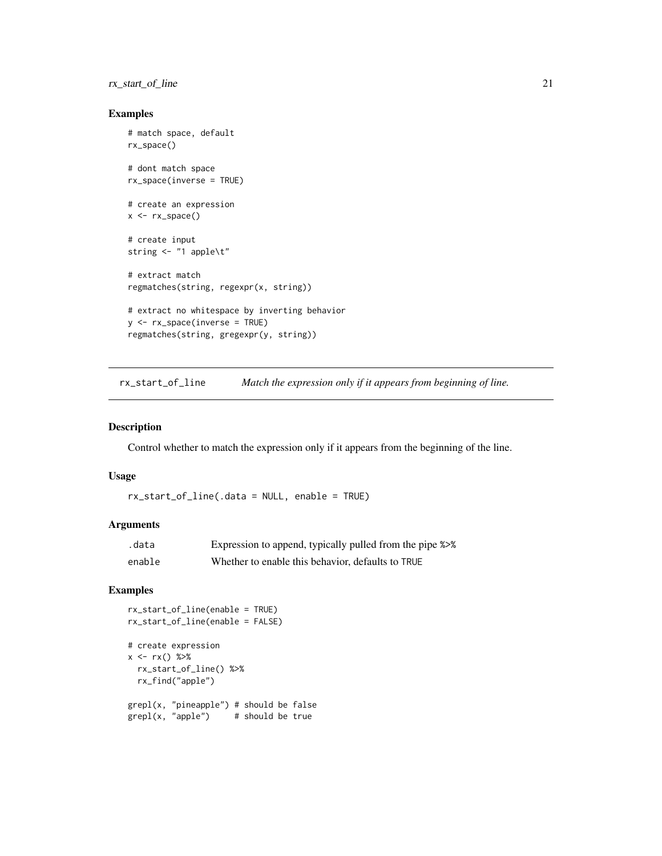# <span id="page-20-0"></span>rx\_start\_of\_line 21

# Examples

```
# match space, default
rx_space()
# dont match space
rx_space(inverse = TRUE)
# create an expression
x < -rx\_space()# create input
string <- "1 apple\t"
# extract match
regmatches(string, regexpr(x, string))
# extract no whitespace by inverting behavior
y \leq -rx\_space(inverse = TRUE)regmatches(string, gregexpr(y, string))
```
rx\_start\_of\_line *Match the expression only if it appears from beginning of line.*

#### Description

Control whether to match the expression only if it appears from the beginning of the line.

#### Usage

rx\_start\_of\_line(.data = NULL, enable = TRUE)

#### Arguments

| .data  | Expression to append, typically pulled from the pipe %>% |
|--------|----------------------------------------------------------|
| enable | Whether to enable this behavior, defaults to TRUE        |

```
rx_start_of_line(enable = TRUE)
rx_start_of_line(enable = FALSE)
# create expression
x \le -rx() %>>rx_start_of_line() %>%
  rx_find("apple")
grepl(x, "pineapple") # should be false
graph(x, "apple") # should be true
```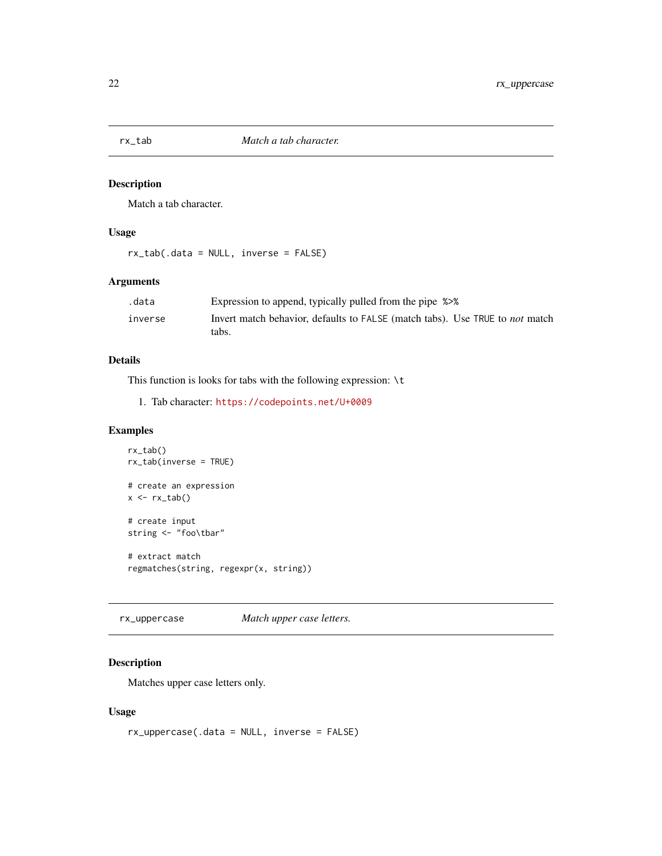<span id="page-21-0"></span>

# Description

Match a tab character.

# Usage

rx\_tab(.data = NULL, inverse = FALSE)

# Arguments

| .data   | Expression to append, typically pulled from the pipe %>%                            |
|---------|-------------------------------------------------------------------------------------|
| inverse | Invert match behavior, defaults to FALSE (match tabs). Use TRUE to <i>not</i> match |
|         | tabs.                                                                               |

# Details

This function is looks for tabs with the following expression:  $\setminus t$ 

```
1. Tab character: https://codepoints.net/U+0009
```
# Examples

```
rx_tab()
rx_tab(inverse = TRUE)
# create an expression
x \leftarrow rx\_tab()# create input
string <- "foo\tbar"
# extract match
regmatches(string, regexpr(x, string))
```
rx\_uppercase *Match upper case letters.*

# Description

Matches upper case letters only.

# Usage

rx\_uppercase(.data = NULL, inverse = FALSE)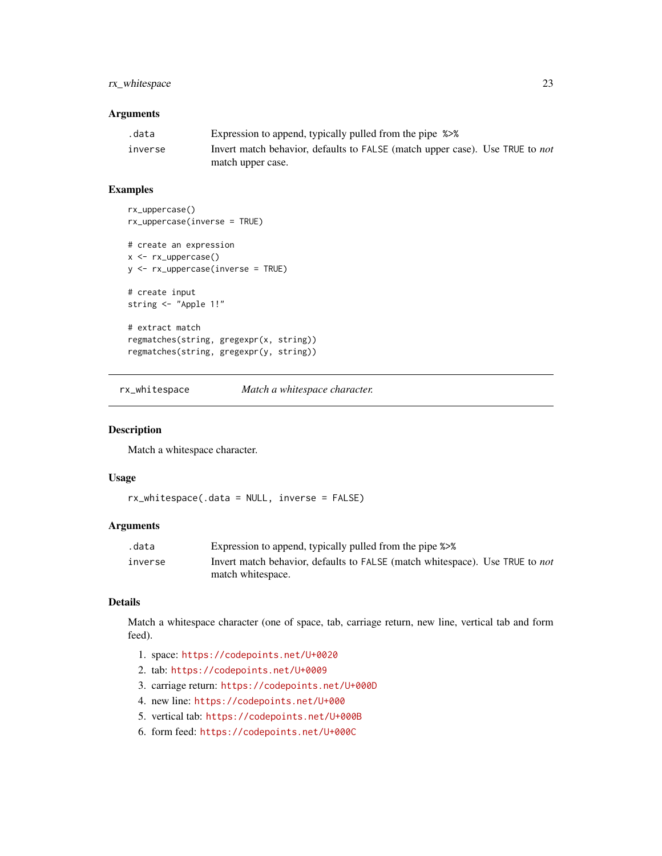# <span id="page-22-0"></span>rx\_whitespace 23

# Arguments

| .data   | Expression to append, typically pulled from the pipe %>%                            |
|---------|-------------------------------------------------------------------------------------|
| inverse | Invert match behavior, defaults to FALSE (match upper case). Use TRUE to <i>not</i> |
|         | match upper case.                                                                   |

# Examples

```
rx_uppercase()
rx_uppercase(inverse = TRUE)
# create an expression
x <- rx_uppercase()
y <- rx_uppercase(inverse = TRUE)
# create input
string <- "Apple 1!"
# extract match
regmatches(string, gregexpr(x, string))
regmatches(string, gregexpr(y, string))
```
rx\_whitespace *Match a whitespace character.*

#### Description

Match a whitespace character.

#### Usage

rx\_whitespace(.data = NULL, inverse = FALSE)

# Arguments

| .data   | Expression to append, typically pulled from the pipe %>%                            |
|---------|-------------------------------------------------------------------------------------|
| inverse | Invert match behavior, defaults to FALSE (match whitespace). Use TRUE to <i>not</i> |
|         | match whitespace.                                                                   |

#### Details

Match a whitespace character (one of space, tab, carriage return, new line, vertical tab and form feed).

- 1. space: <https://codepoints.net/U+0020>
- 2. tab: <https://codepoints.net/U+0009>
- 3. carriage return: <https://codepoints.net/U+000D>
- 4. new line: <https://codepoints.net/U+000>
- 5. vertical tab: <https://codepoints.net/U+000B>
- 6. form feed: <https://codepoints.net/U+000C>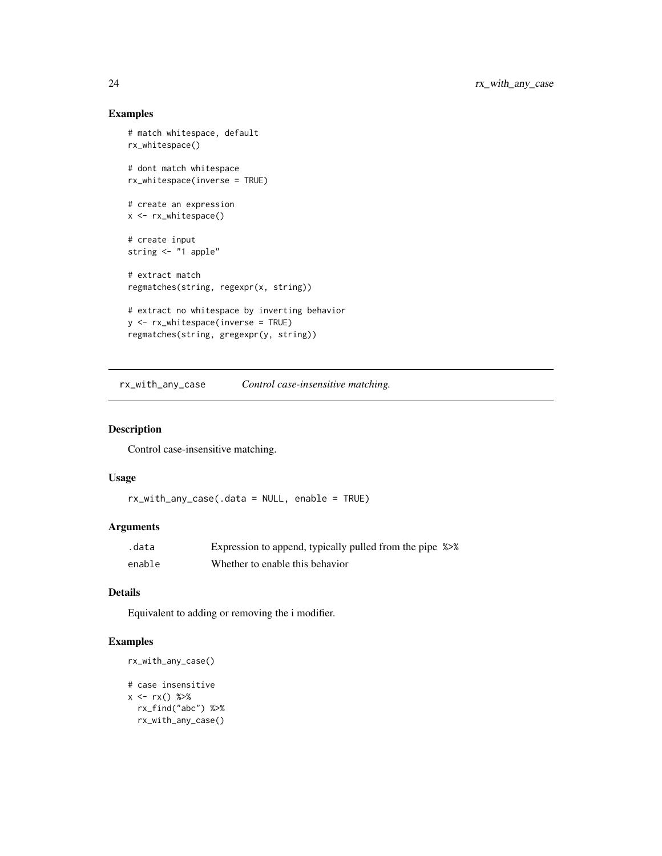# Examples

```
# match whitespace, default
rx_whitespace()
# dont match whitespace
rx_whitespace(inverse = TRUE)
# create an expression
x <- rx_whitespace()
# create input
string <- "1 apple"
# extract match
regmatches(string, regexpr(x, string))
# extract no whitespace by inverting behavior
y <- rx_whitespace(inverse = TRUE)
regmatches(string, gregexpr(y, string))
```
rx\_with\_any\_case *Control case-insensitive matching.*

#### Description

Control case-insensitive matching.

#### Usage

```
rx_with_any_case(.data = NULL, enable = TRUE)
```
#### Arguments

| .data  | Expression to append, typically pulled from the pipe %>% |  |
|--------|----------------------------------------------------------|--|
| enable | Whether to enable this behavior                          |  |

#### Details

Equivalent to adding or removing the i modifier.

```
rx_with_any_case()
```

```
# case insensitive
x \leq -rx() %>%
 rx_find("abc") %>%
  rx_with_any_case()
```
<span id="page-23-0"></span>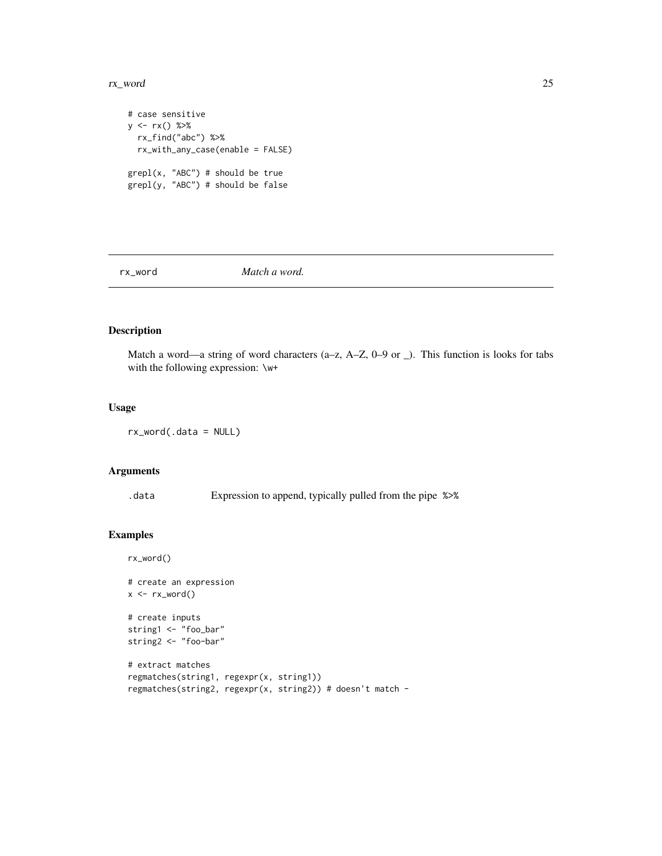#### <span id="page-24-0"></span>rx\_word 25

```
# case sensitive
y \leq -rx() %>%
 rx_find("abc") %>%
  rx_with_any_case(enable = FALSE)
grepl(x, "ABC") # should be true
grepl(y, "ABC") # should be false
```
rx\_word *Match a word.*

# Description

Match a word—a string of word characters (a–z,  $A$ –Z,  $0-9$  or  $\Box$ ). This function is looks for tabs with the following expression: \w+

#### Usage

rx\_word(.data = NULL)

# Arguments

.data Expression to append, typically pulled from the pipe %>%

# Examples

rx\_word()

```
# create an expression
x \leftarrow rx_word()# create inputs
string1 <- "foo_bar"
string2 <- "foo-bar"
# extract matches
regmatches(string1, regexpr(x, string1))
regmatches(string2, regexpr(x, string2)) # doesn't match -
```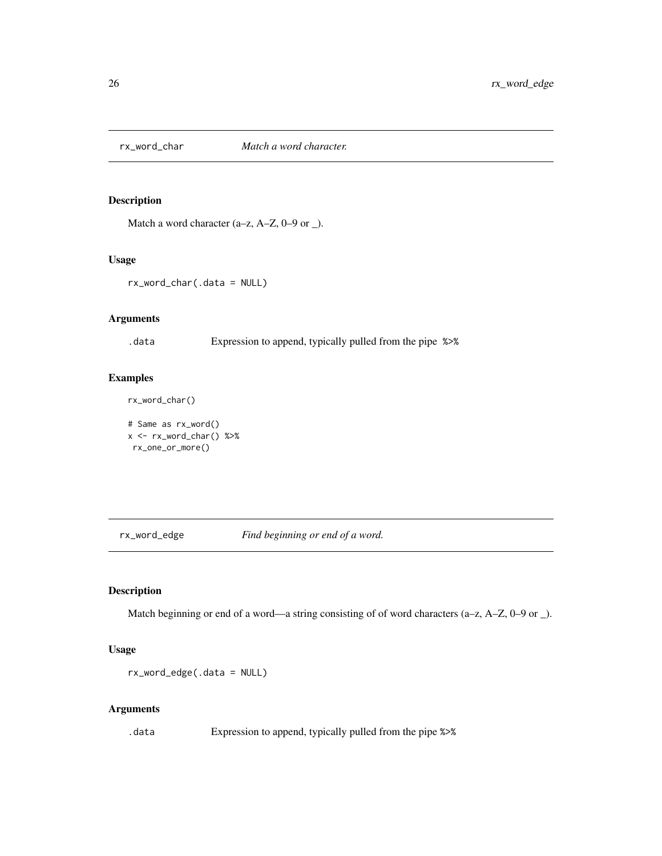<span id="page-25-0"></span>

# Description

Match a word character (a–z, A–Z, 0–9 or \_).

#### Usage

rx\_word\_char(.data = NULL)

#### Arguments

.data Expression to append, typically pulled from the pipe %>%

# Examples

rx\_word\_char()

# Same as rx\_word()  $x \le -rx_word_char()$  %>% rx\_one\_or\_more()

rx\_word\_edge *Find beginning or end of a word.*

# Description

Match beginning or end of a word—a string consisting of of word characters (a–z, A–Z, 0–9 or  $\Box$ ).

#### Usage

rx\_word\_edge(.data = NULL)

# Arguments

.data Expression to append, typically pulled from the pipe %>%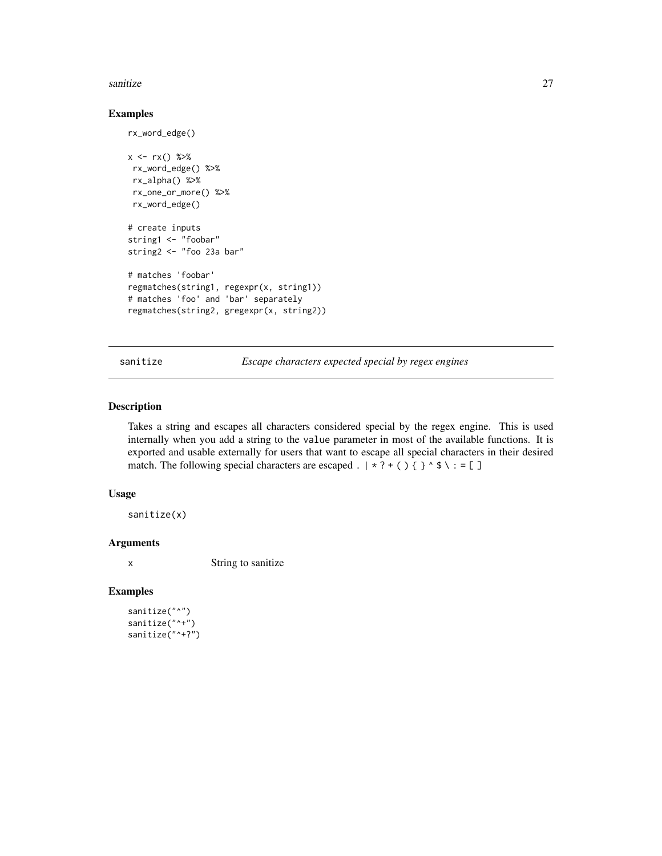#### <span id="page-26-0"></span>sanitize 27

#### Examples

rx\_word\_edge()

```
x \leq -rx() %>%
rx_word_edge() %>%
rx_alpha() %>%
rx_one_or_more() %>%
rx_word_edge()
# create inputs
string1 <- "foobar"
string2 <- "foo 23a bar"
# matches 'foobar'
regmatches(string1, regexpr(x, string1))
# matches 'foo' and 'bar' separately
regmatches(string2, gregexpr(x, string2))
```
sanitize *Escape characters expected special by regex engines*

#### Description

Takes a string and escapes all characters considered special by the regex engine. This is used internally when you add a string to the value parameter in most of the available functions. It is exported and usable externally for users that want to escape all special characters in their desired match. The following special characters are escaped .  $\mid * ? + ( ) { }$   $\mid$   $\rightarrow$   $\land$   $\mid$  = [ ]

### Usage

sanitize(x)

# Arguments

x String to sanitize

```
sanitize("^")
sanitize("^+")
sanitize("^+?")
```